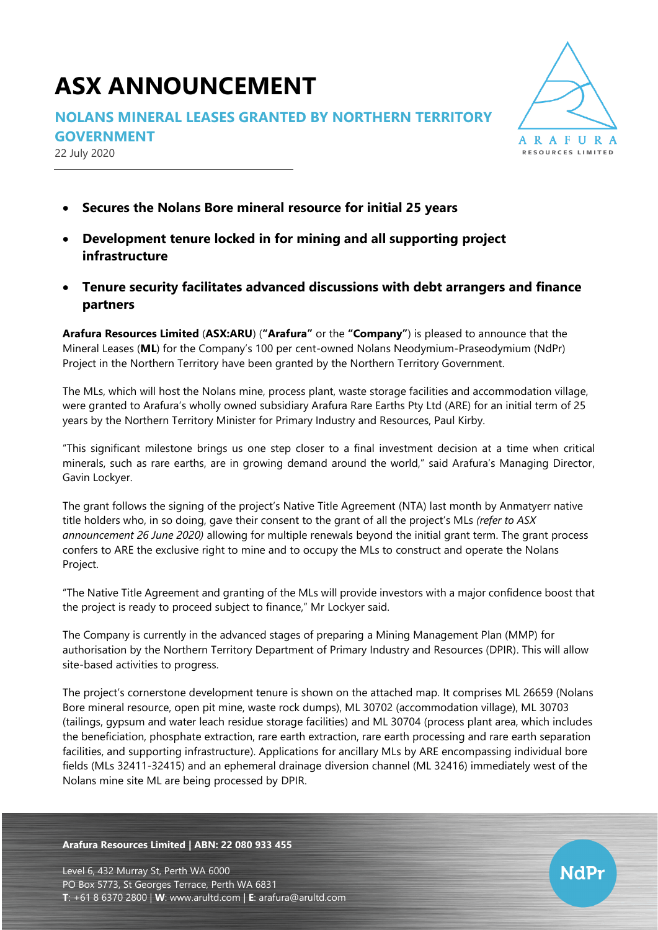# **ASX ANNOUNCEMENT**

## **NOLANS MINERAL LEASES GRANTED BY NORTHERN TERRITORY**

**GOVERNMENT**

22 July 2020



NdPr

- **Secures the Nolans Bore mineral resource for initial 25 years**
- **Development tenure locked in for mining and all supporting project infrastructure**
- **Tenure security facilitates advanced discussions with debt arrangers and finance partners**

**Arafura Resources Limited** (**ASX:ARU**) (**"Arafura"** or the **"Company"**) is pleased to announce that the Mineral Leases (**ML**) for the Company's 100 per cent-owned Nolans Neodymium-Praseodymium (NdPr) Project in the Northern Territory have been granted by the Northern Territory Government.

The MLs, which will host the Nolans mine, process plant, waste storage facilities and accommodation village, were granted to Arafura's wholly owned subsidiary Arafura Rare Earths Pty Ltd (ARE) for an initial term of 25 years by the Northern Territory Minister for Primary Industry and Resources, Paul Kirby.

"This significant milestone brings us one step closer to a final investment decision at a time when critical minerals, such as rare earths, are in growing demand around the world," said Arafura's Managing Director, Gavin Lockyer.

The grant follows the signing of the project's Native Title Agreement (NTA) last month by Anmatyerr native title holders who, in so doing, gave their consent to the grant of all the project's MLs *(refer to ASX announcement 26 June 2020)* allowing for multiple renewals beyond the initial grant term. The grant process confers to ARE the exclusive right to mine and to occupy the MLs to construct and operate the Nolans Project.

"The Native Title Agreement and granting of the MLs will provide investors with a major confidence boost that the project is ready to proceed subject to finance," Mr Lockyer said.

The Company is currently in the advanced stages of preparing a Mining Management Plan (MMP) for authorisation by the Northern Territory Department of Primary Industry and Resources (DPIR). This will allow site-based activities to progress.

The project's cornerstone development tenure is shown on the attached map. It comprises ML 26659 (Nolans Bore mineral resource, open pit mine, waste rock dumps), ML 30702 (accommodation village), ML 30703 (tailings, gypsum and water leach residue storage facilities) and ML 30704 (process plant area, which includes the beneficiation, phosphate extraction, rare earth extraction, rare earth processing and rare earth separation facilities, and supporting infrastructure). Applications for ancillary MLs by ARE encompassing individual bore fields (MLs 32411-32415) and an ephemeral drainage diversion channel (ML 32416) immediately west of the Nolans mine site ML are being processed by DPIR.

### **Arafura Resources Limited | ABN: 22 080 933 455**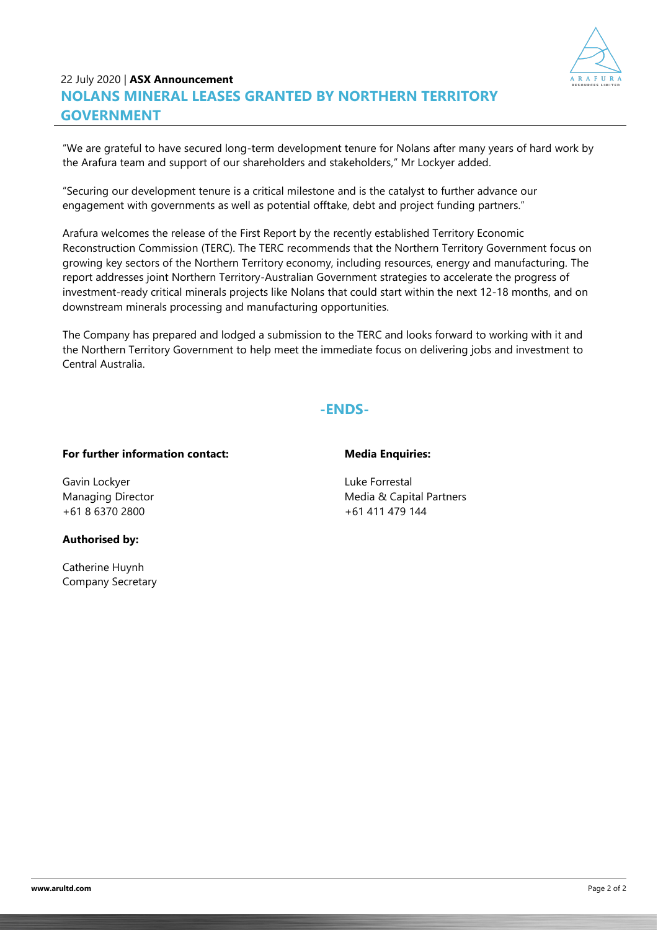

## 22 July 2020 | **ASX Announcement NOLANS MINERAL LEASES GRANTED BY NORTHERN TERRITORY GOVERNMENT**

"We are grateful to have secured long-term development tenure for Nolans after many years of hard work by the Arafura team and support of our shareholders and stakeholders," Mr Lockyer added.

"Securing our development tenure is a critical milestone and is the catalyst to further advance our engagement with governments as well as potential offtake, debt and project funding partners."

Arafura welcomes the release of the First Report by the recently established Territory Economic Reconstruction Commission (TERC). The TERC recommends that the Northern Territory Government focus on growing key sectors of the Northern Territory economy, including resources, energy and manufacturing. The report addresses joint Northern Territory-Australian Government strategies to accelerate the progress of investment-ready critical minerals projects like Nolans that could start within the next 12-18 months, and on downstream minerals processing and manufacturing opportunities.

The Company has prepared and lodged a submission to the TERC and looks forward to working with it and the Northern Territory Government to help meet the immediate focus on delivering jobs and investment to Central Australia.

## **-ENDS-**

#### **For further information contact:**

#### **Media Enquiries:**

Gavin Lockyer Managing Director +61 8 6370 2800

## **Authorised by:**

Catherine Huynh Company Secretary Luke Forrestal Media & Capital Partners +61 411 479 144